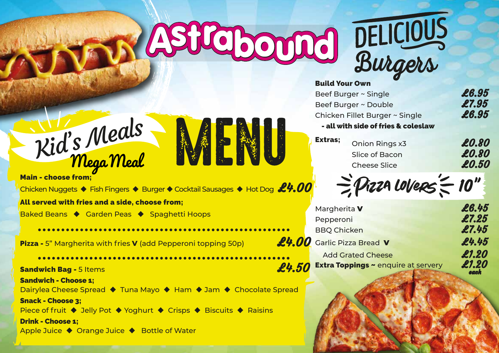# ASPEDOUD

第十六章



### Build Your Own

| Beef Burger ~ Single                | £6.95 |
|-------------------------------------|-------|
| Beef Burger ~ Double                | £7.95 |
| Chicken Fillet Burger ~ Single      | £6.95 |
| - all with side of fries & coleslaw |       |

**Extras;** Onion Rings  $\times$ 3 **£0.80** Slice of Bacon **£0.80** Cheese Slice **£0.50** 

 $\gtrsim$  Przza Lovers $\lesssim$  10"

|    | Margherita V                               | £6.45 |
|----|--------------------------------------------|-------|
|    | Pepperoni                                  | £7.25 |
|    | <b>BBQ Chicken</b>                         | £7.45 |
|    | <b>00</b> Garlic Pizza Bread <b>V</b>      | £4.45 |
|    | <b>Add Grated Cheese</b>                   | £1.20 |
| 50 | <b>Extra Toppings ~ enquire at servery</b> | £1.20 |



Main - choose from; Chicken Nuggets  $\blacklozenge$  Fish Fingers  $\blacklozenge$  Burger  $\blacklozenge$  Cocktail Sausages  $\blacklozenge$  Hot Dog  $\mathscr L\text{-}\mathscr{O}$ 

All served with fries and a side, choose from;

Baked Beans ♦ Garden Peas ♦ Spaghetti Hoops

**Pizza -** 5" Margherita with fries **V** (add Pepperoni topping 50p) **4.000** 

Sandwich Bag - 5 Items  $\mathscr{L}4.5$ Sandwich - Choose 1; Dairylea Cheese Spread ♦ Tuna Mayo ♦ Ham ♦ Jam ♦ Chocolate Spread Snack - Choose 3; Piece of fruit  $\blacklozenge$  Jelly Pot  $\blacklozenge$  Yoghurt  $\blacklozenge$  Crisps  $\blacklozenge$  Biscuits  $\blacklozenge$  Raisins Drink - Choose 1; Apple Juice ♦ Orange Juice ♦ Bottle of Water